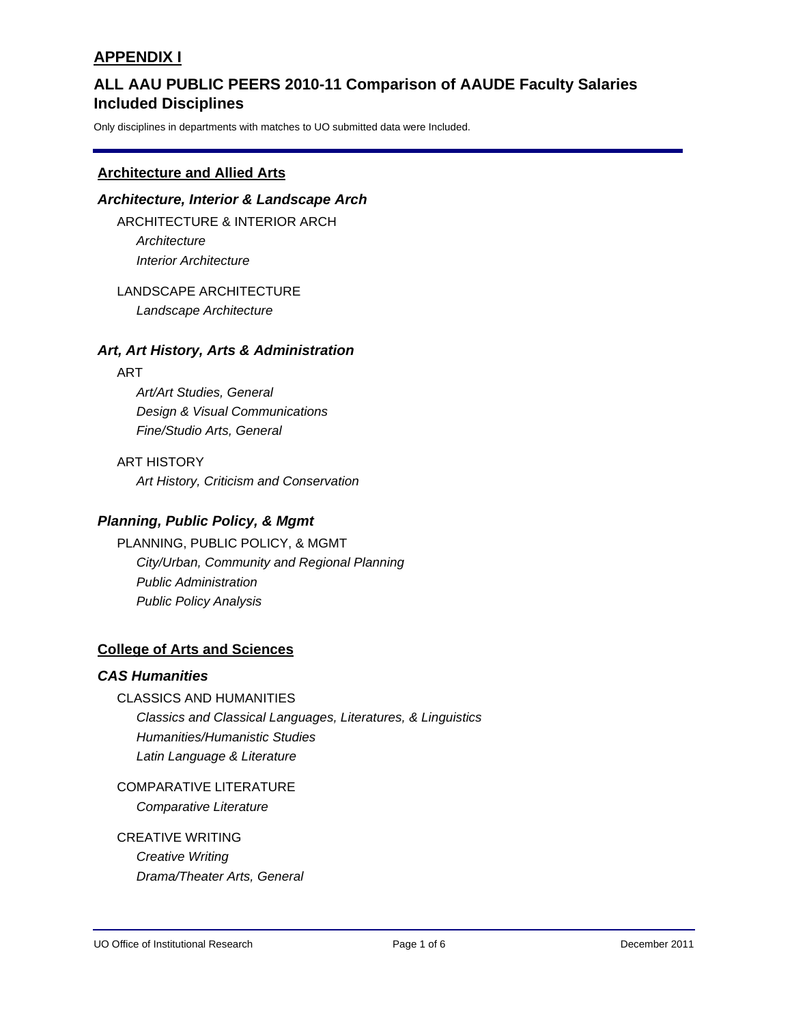# **Included Disciplines ALL AAU PUBLIC PEERS 2010-11 Comparison of AAUDE Faculty Salaries**

Only disciplines in departments with matches to UO submitted data were Included.

### **Architecture and Allied Arts**

#### *Architecture, Interior & Landscape Arch*

ARCHITECTURE & INTERIOR ARCH *Architecture Interior Architecture*

LANDSCAPE ARCHITECTURE *Landscape Architecture*

#### *Art, Art History, Arts & Administration*

#### ART

*Art/Art Studies, General Design & Visual Communications Fine/Studio Arts, General*

ART HISTORY *Art History, Criticism and Conservation*

## *Planning, Public Policy, & Mgmt*

PLANNING, PUBLIC POLICY, & MGMT *City/Urban, Community and Regional Planning Public Administration Public Policy Analysis*

## **College of Arts and Sciences**

#### *CAS Humanities*

# CLASSICS AND HUMANITIES

*Classics and Classical Languages, Literatures, & Linguistics Humanities/Humanistic Studies Latin Language & Literature*

COMPARATIVE LITERATURE *Comparative Literature*

## CREATIVE WRITING

*Creative Writing Drama/Theater Arts, General*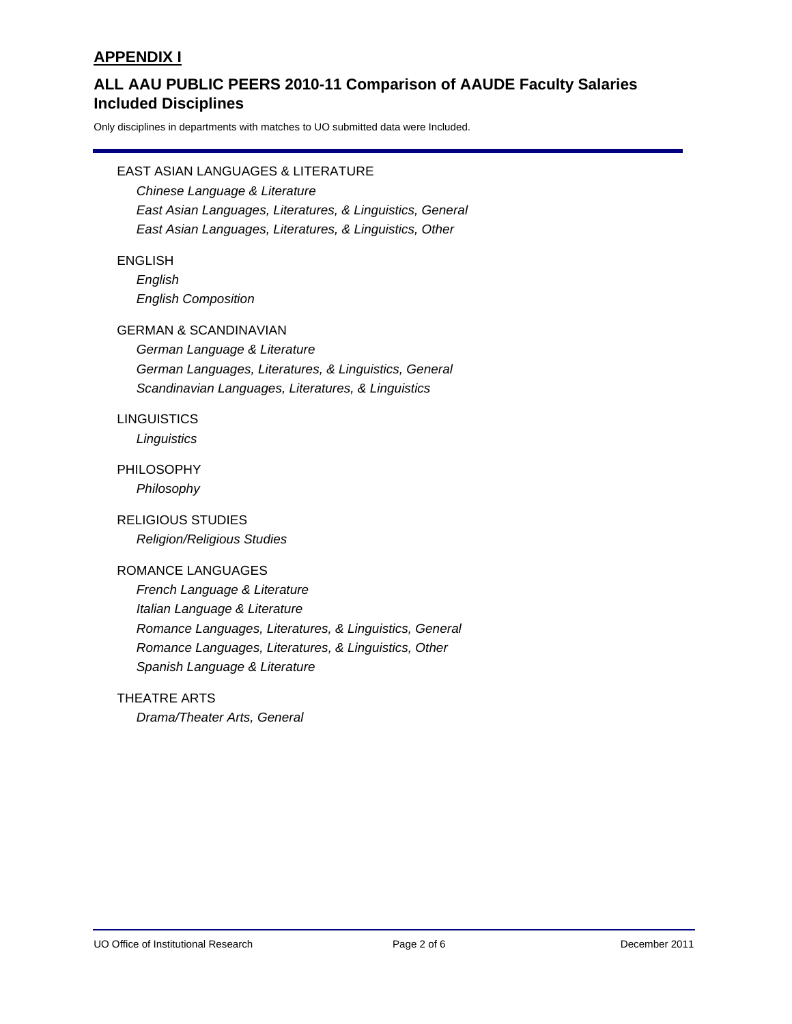# **Included Disciplines ALL AAU PUBLIC PEERS 2010-11 Comparison of AAUDE Faculty Salaries**

Only disciplines in departments with matches to UO submitted data were Included.

### EAST ASIAN LANGUAGES & LITERATURE

*Chinese Language & Literature East Asian Languages, Literatures, & Linguistics, General East Asian Languages, Literatures, & Linguistics, Other*

#### ENGLISH

*English English Composition*

#### GERMAN & SCANDINAVIAN

*German Language & Literature German Languages, Literatures, & Linguistics, General Scandinavian Languages, Literatures, & Linguistics*

### **LINGUISTICS**

*Linguistics*

# PHILOSOPHY

*Philosophy*

#### RELIGIOUS STUDIES

*Religion/Religious Studies*

#### ROMANCE LANGUAGES

*French Language & Literature Italian Language & Literature Romance Languages, Literatures, & Linguistics, General Romance Languages, Literatures, & Linguistics, Other Spanish Language & Literature*

#### THEATRE ARTS

*Drama/Theater Arts, General*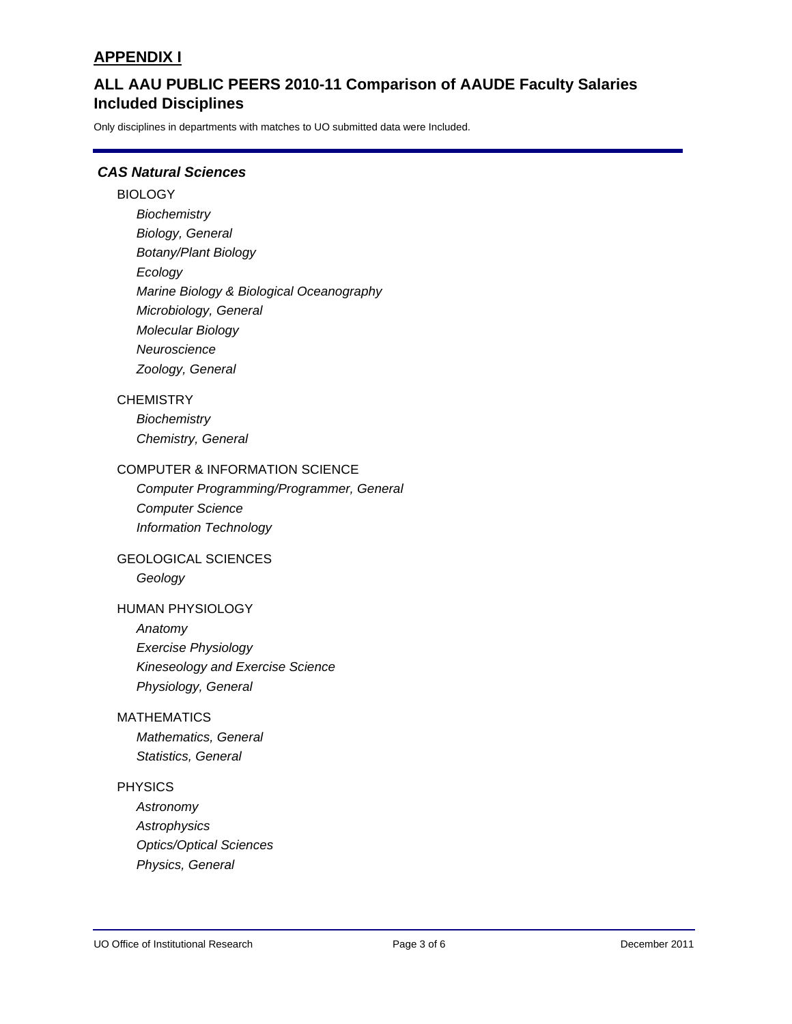# **Included Disciplines ALL AAU PUBLIC PEERS 2010-11 Comparison of AAUDE Faculty Salaries**

Only disciplines in departments with matches to UO submitted data were Included.

## *CAS Natural Sciences*

#### **BIOLOGY**

*Biochemistry Biology, General Botany/Plant Biology Ecology Marine Biology & Biological Oceanography Microbiology, General Molecular Biology Neuroscience Zoology, General*

#### **CHEMISTRY**

*Biochemistry Chemistry, General*

#### COMPUTER & INFORMATION SCIENCE

*Computer Programming/Programmer, General Computer Science Information Technology*

#### GEOLOGICAL SCIENCES

*Geology*

#### HUMAN PHYSIOLOGY

*Anatomy Exercise Physiology Kineseology and Exercise Science Physiology, General*

### MATHEMATICS

*Mathematics, General Statistics, General*

#### PHYSICS

*Astronomy Astrophysics Optics/Optical Sciences Physics, General*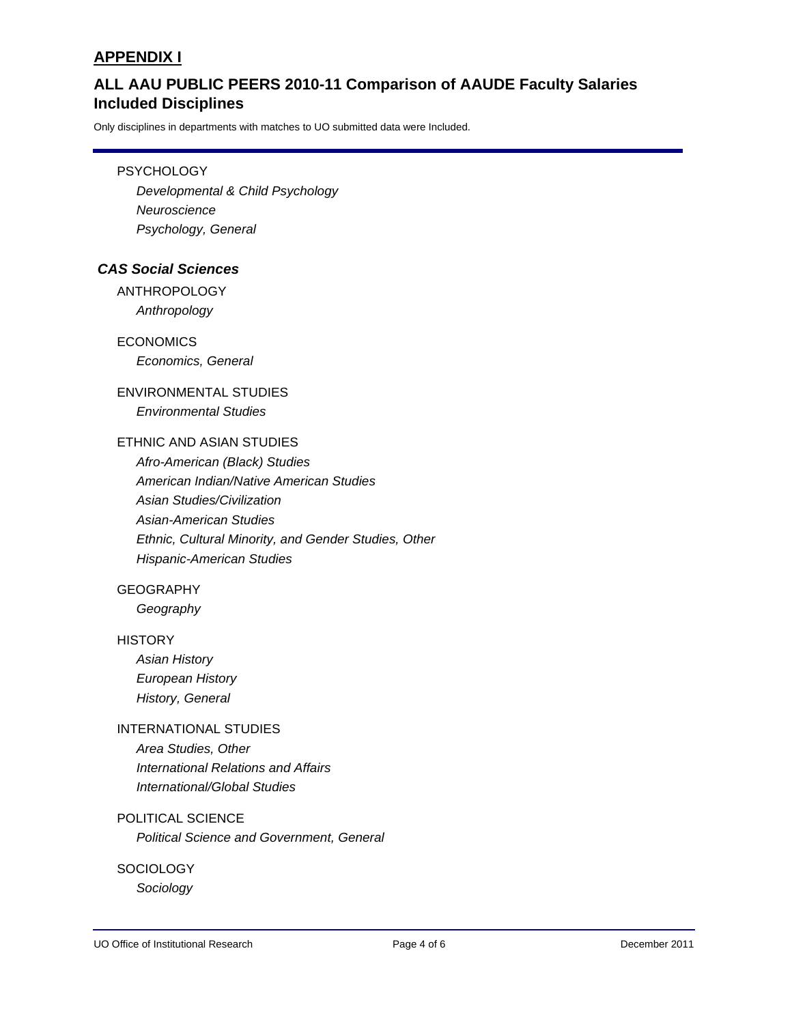# **Included Disciplines ALL AAU PUBLIC PEERS 2010-11 Comparison of AAUDE Faculty Salaries**

Only disciplines in departments with matches to UO submitted data were Included.

#### **PSYCHOLOGY**

*Developmental & Child Psychology Neuroscience Psychology, General*

#### *CAS Social Sciences*

ANTHROPOLOGY *Anthropology*

ECONOMICS *Economics, General*

# ENVIRONMENTAL STUDIES *Environmental Studies*

# ETHNIC AND ASIAN STUDIES

*Afro-American (Black) Studies American Indian/Native American Studies Asian Studies/Civilization Asian-American Studies Ethnic, Cultural Minority, and Gender Studies, Other Hispanic-American Studies*

### **GEOGRAPHY**

*Geography*

#### **HISTORY**

*Asian History European History History, General*

## INTERNATIONAL STUDIES

*Area Studies, Other International Relations and Affairs International/Global Studies*

### POLITICAL SCIENCE

*Political Science and Government, General*

#### **SOCIOLOGY**

*Sociology*

UO Office of Institutional Research Page 4 of 6 December 2011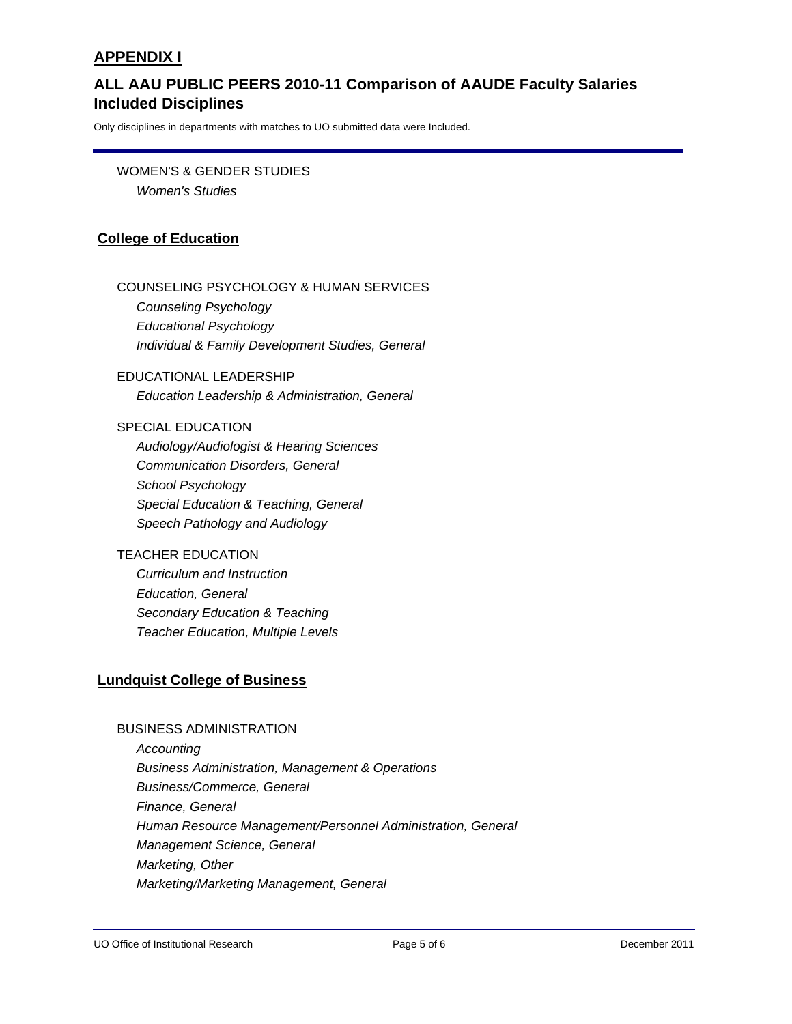# **Included Disciplines ALL AAU PUBLIC PEERS 2010-11 Comparison of AAUDE Faculty Salaries**

Only disciplines in departments with matches to UO submitted data were Included.

WOMEN'S & GENDER STUDIES *Women's Studies*

# **College of Education**

#### COUNSELING PSYCHOLOGY & HUMAN SERVICES

*Counseling Psychology Educational Psychology Individual & Family Development Studies, General*

EDUCATIONAL LEADERSHIP *Education Leadership & Administration, General*

#### SPECIAL EDUCATION

*Audiology/Audiologist & Hearing Sciences Communication Disorders, General School Psychology Special Education & Teaching, General Speech Pathology and Audiology*

# TEACHER EDUCATION

*Curriculum and Instruction Education, General Secondary Education & Teaching Teacher Education, Multiple Levels*

## **Lundquist College of Business**

#### BUSINESS ADMINISTRATION

*Accounting Business Administration, Management & Operations Business/Commerce, General Finance, General Human Resource Management/Personnel Administration, General Management Science, General Marketing, Other Marketing/Marketing Management, General*